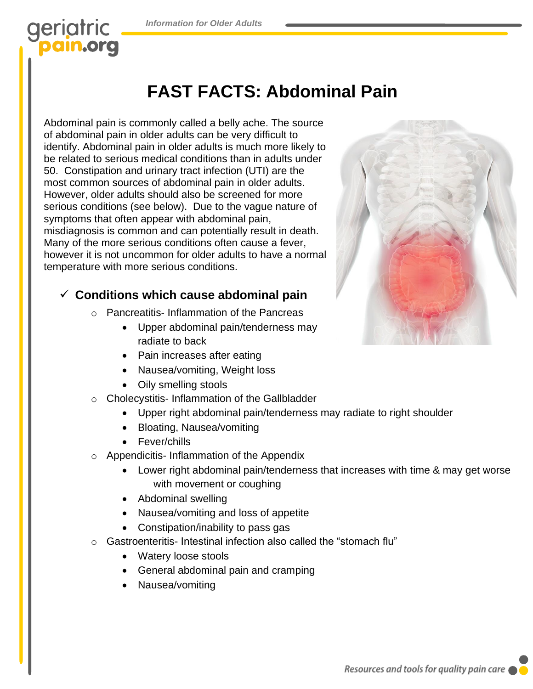## geriatric **ain.org**

## **FAST FACTS: Abdominal Pain**

Abdominal pain is commonly called a belly ache. The source of abdominal pain in older adults can be very difficult to identify. Abdominal pain in older adults is much more likely to be related to serious medical conditions than in adults under 50. Constipation and urinary tract infection (UTI) are the most common sources of abdominal pain in older adults. However, older adults should also be screened for more serious conditions (see below). Due to the vague nature of symptoms that often appear with abdominal pain, misdiagnosis is common and can potentially result in death. Many of the more serious conditions often cause a fever, however it is not uncommon for older adults to have a normal temperature with more serious conditions.

#### ✓ **Conditions which cause abdominal pain**

- o Pancreatitis- Inflammation of the Pancreas
	- Upper abdominal pain/tenderness may radiate to back
		- Pain increases after eating
		- Nausea/vomiting, Weight loss
	- Oily smelling stools
- o Cholecystitis- Inflammation of the Gallbladder
	- Upper right abdominal pain/tenderness may radiate to right shoulder
	- Bloating, Nausea/vomiting
	- Fever/chills
- o Appendicitis- Inflammation of the Appendix
	- Lower right abdominal pain/tenderness that increases with time & may get worse with movement or coughing
	- Abdominal swelling
	- Nausea/vomiting and loss of appetite
	- Constipation/inability to pass gas
- o Gastroenteritis- Intestinal infection also called the "stomach flu"
	- Watery loose stools
	- General abdominal pain and cramping
	- Nausea/vomiting